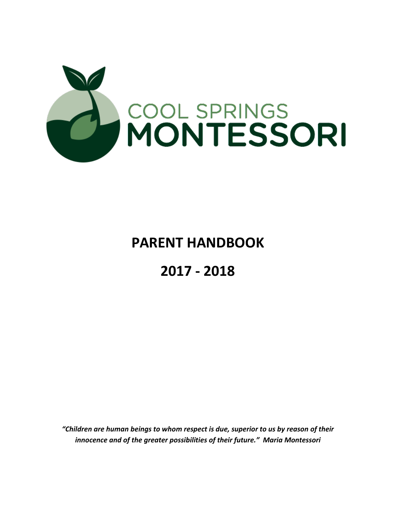

# **PARENT HANDBOOK**

# **2017 - 2018**

*"Children are human beings to whom respect is due, superior to us by reason of their innocence and of the greater possibilities of their future." Maria Montessori*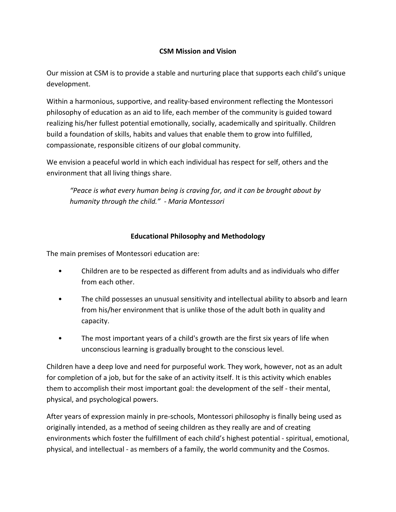# **CSM Mission and Vision**

Our mission at CSM is to provide a stable and nurturing place that supports each child's unique development.

Within a harmonious, supportive, and reality-based environment reflecting the Montessori philosophy of education as an aid to life, each member of the community is guided toward realizing his/her fullest potential emotionally, socially, academically and spiritually. Children build a foundation of skills, habits and values that enable them to grow into fulfilled, compassionate, responsible citizens of our global community.

We envision a peaceful world in which each individual has respect for self, others and the environment that all living things share.

*"Peace is what every human being is craving for, and it can be brought about by humanity through the child." - Maria Montessori*

# **Educational Philosophy and Methodology**

The main premises of Montessori education are:

- Children are to be respected as different from adults and as individuals who differ from each other.
- The child possesses an unusual sensitivity and intellectual ability to absorb and learn from his/her environment that is unlike those of the adult both in quality and capacity.
- The most important years of a child's growth are the first six years of life when unconscious learning is gradually brought to the conscious level.

Children have a deep love and need for purposeful work. They work, however, not as an adult for completion of a job, but for the sake of an activity itself. It is this activity which enables them to accomplish their most important goal: the development of the self - their mental, physical, and psychological powers.

After years of expression mainly in pre-schools, Montessori philosophy is finally being used as originally intended, as a method of seeing children as they really are and of creating environments which foster the fulfillment of each child's highest potential - spiritual, emotional, physical, and intellectual - as members of a family, the world community and the Cosmos.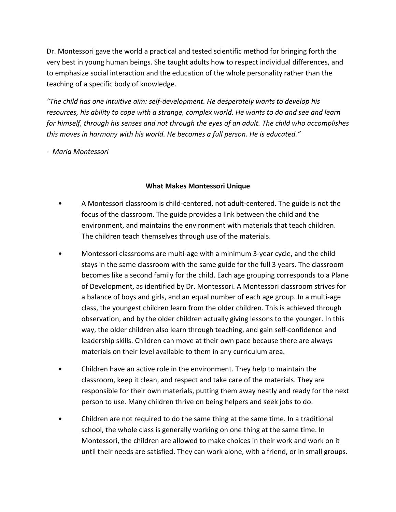Dr. Montessori gave the world a practical and tested scientific method for bringing forth the very best in young human beings. She taught adults how to respect individual differences, and to emphasize social interaction and the education of the whole personality rather than the teaching of a specific body of knowledge.

*"The child has one intuitive aim: self-development. He desperately wants to develop his resources, his ability to cope with a strange, complex world. He wants to do and see and learn for himself, through his senses and not through the eyes of an adult. The child who accomplishes this moves in harmony with his world. He becomes a full person. He is educated."* 

*- Maria Montessori*

# **What Makes Montessori Unique**

- A Montessori classroom is child-centered, not adult-centered. The guide is not the focus of the classroom. The guide provides a link between the child and the environment, and maintains the environment with materials that teach children. The children teach themselves through use of the materials.
- Montessori classrooms are multi-age with a minimum 3-year cycle, and the child stays in the same classroom with the same guide for the full 3 years. The classroom becomes like a second family for the child. Each age grouping corresponds to a Plane of Development, as identified by Dr. Montessori. A Montessori classroom strives for a balance of boys and girls, and an equal number of each age group. In a multi-age class, the youngest children learn from the older children. This is achieved through observation, and by the older children actually giving lessons to the younger. In this way, the older children also learn through teaching, and gain self-confidence and leadership skills. Children can move at their own pace because there are always materials on their level available to them in any curriculum area.
- Children have an active role in the environment. They help to maintain the classroom, keep it clean, and respect and take care of the materials. They are responsible for their own materials, putting them away neatly and ready for the next person to use. Many children thrive on being helpers and seek jobs to do.
- Children are not required to do the same thing at the same time. In a traditional school, the whole class is generally working on one thing at the same time. In Montessori, the children are allowed to make choices in their work and work on it until their needs are satisfied. They can work alone, with a friend, or in small groups.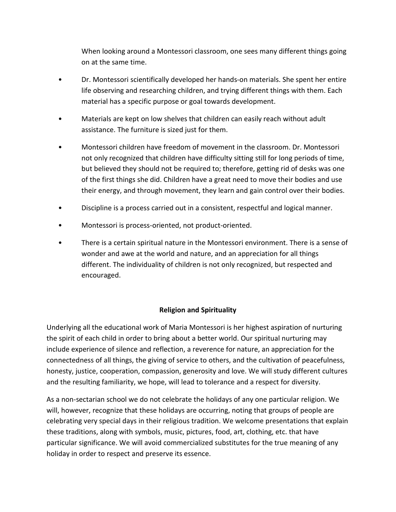When looking around a Montessori classroom, one sees many different things going on at the same time.

- Dr. Montessori scientifically developed her hands-on materials. She spent her entire life observing and researching children, and trying different things with them. Each material has a specific purpose or goal towards development.
- Materials are kept on low shelves that children can easily reach without adult assistance. The furniture is sized just for them.
- Montessori children have freedom of movement in the classroom. Dr. Montessori not only recognized that children have difficulty sitting still for long periods of time, but believed they should not be required to; therefore, getting rid of desks was one of the first things she did. Children have a great need to move their bodies and use their energy, and through movement, they learn and gain control over their bodies.
- Discipline is a process carried out in a consistent, respectful and logical manner.
- Montessori is process-oriented, not product-oriented.
- There is a certain spiritual nature in the Montessori environment. There is a sense of wonder and awe at the world and nature, and an appreciation for all things different. The individuality of children is not only recognized, but respected and encouraged.

# **Religion and Spirituality**

Underlying all the educational work of Maria Montessori is her highest aspiration of nurturing the spirit of each child in order to bring about a better world. Our spiritual nurturing may include experience of silence and reflection, a reverence for nature, an appreciation for the connectedness of all things, the giving of service to others, and the cultivation of peacefulness, honesty, justice, cooperation, compassion, generosity and love. We will study different cultures and the resulting familiarity, we hope, will lead to tolerance and a respect for diversity.

As a non-sectarian school we do not celebrate the holidays of any one particular religion. We will, however, recognize that these holidays are occurring, noting that groups of people are celebrating very special days in their religious tradition. We welcome presentations that explain these traditions, along with symbols, music, pictures, food, art, clothing, etc. that have particular significance. We will avoid commercialized substitutes for the true meaning of any holiday in order to respect and preserve its essence.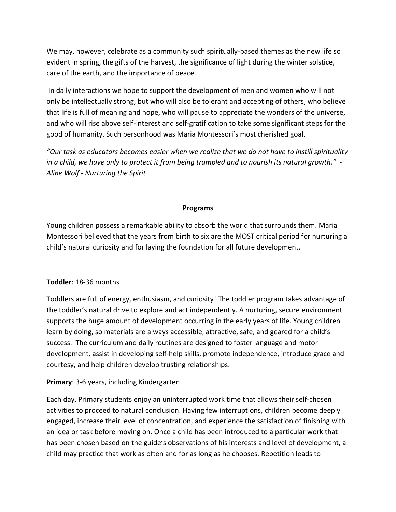We may, however, celebrate as a community such spiritually-based themes as the new life so evident in spring, the gifts of the harvest, the significance of light during the winter solstice, care of the earth, and the importance of peace.

In daily interactions we hope to support the development of men and women who will not only be intellectually strong, but who will also be tolerant and accepting of others, who believe that life is full of meaning and hope, who will pause to appreciate the wonders of the universe, and who will rise above self-interest and self-gratification to take some significant steps for the good of humanity. Such personhood was Maria Montessori's most cherished goal.

*"Our task as educators becomes easier when we realize that we do not have to instill spirituality* in a child, we have only to protect it from being trampled and to nourish its natural growth." -*Aline Wolf - Nurturing the Spirit*

## **Programs**

Young children possess a remarkable ability to absorb the world that surrounds them. Maria Montessori believed that the years from birth to six are the MOST critical period for nurturing a child's natural curiosity and for laying the foundation for all future development.

#### **Toddler**: 18-36 months

Toddlers are full of energy, enthusiasm, and curiosity! The toddler program takes advantage of the toddler's natural drive to explore and act independently. A nurturing, secure environment supports the huge amount of development occurring in the early years of life. Young children learn by doing, so materials are always accessible, attractive, safe, and geared for a child's success. The curriculum and daily routines are designed to foster language and motor development, assist in developing self-help skills, promote independence, introduce grace and courtesy, and help children develop trusting relationships.

# **Primary**: 3-6 years, including Kindergarten

Each day, Primary students enjoy an uninterrupted work time that allows their self-chosen activities to proceed to natural conclusion. Having few interruptions, children become deeply engaged, increase their level of concentration, and experience the satisfaction of finishing with an idea or task before moving on. Once a child has been introduced to a particular work that has been chosen based on the guide's observations of his interests and level of development, a child may practice that work as often and for as long as he chooses. Repetition leads to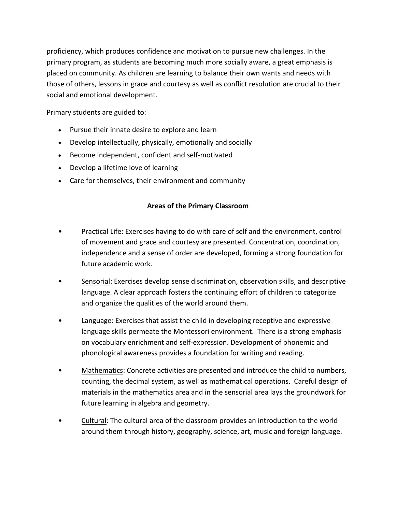proficiency, which produces confidence and motivation to pursue new challenges. In the primary program, as students are becoming much more socially aware, a great emphasis is placed on community. As children are learning to balance their own wants and needs with those of others, lessons in grace and courtesy as well as conflict resolution are crucial to their social and emotional development.

Primary students are guided to:

- Pursue their innate desire to explore and learn
- Develop intellectually, physically, emotionally and socially
- Become independent, confident and self-motivated
- Develop a lifetime love of learning
- Care for themselves, their environment and community

## **Areas of the Primary Classroom**

- Practical Life: Exercises having to do with care of self and the environment, control of movement and grace and courtesy are presented. Concentration, coordination, independence and a sense of order are developed, forming a strong foundation for future academic work.
- Sensorial: Exercises develop sense discrimination, observation skills, and descriptive language. A clear approach fosters the continuing effort of children to categorize and organize the qualities of the world around them.
- Language: Exercises that assist the child in developing receptive and expressive language skills permeate the Montessori environment. There is a strong emphasis on vocabulary enrichment and self-expression. Development of phonemic and phonological awareness provides a foundation for writing and reading.
- Mathematics: Concrete activities are presented and introduce the child to numbers, counting, the decimal system, as well as mathematical operations. Careful design of materials in the mathematics area and in the sensorial area lays the groundwork for future learning in algebra and geometry.
- Cultural: The cultural area of the classroom provides an introduction to the world around them through history, geography, science, art, music and foreign language.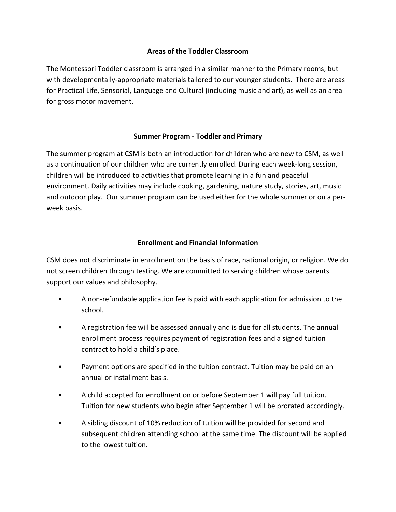## **Areas of the Toddler Classroom**

The Montessori Toddler classroom is arranged in a similar manner to the Primary rooms, but with developmentally-appropriate materials tailored to our younger students. There are areas for Practical Life, Sensorial, Language and Cultural (including music and art), as well as an area for gross motor movement.

## **Summer Program - Toddler and Primary**

The summer program at CSM is both an introduction for children who are new to CSM, as well as a continuation of our children who are currently enrolled. During each week-long session, children will be introduced to activities that promote learning in a fun and peaceful environment. Daily activities may include cooking, gardening, nature study, stories, art, music and outdoor play. Our summer program can be used either for the whole summer or on a perweek basis.

## **Enrollment and Financial Information**

CSM does not discriminate in enrollment on the basis of race, national origin, or religion. We do not screen children through testing. We are committed to serving children whose parents support our values and philosophy.

- A non-refundable application fee is paid with each application for admission to the school.
- A registration fee will be assessed annually and is due for all students. The annual enrollment process requires payment of registration fees and a signed tuition contract to hold a child's place.
- Payment options are specified in the tuition contract. Tuition may be paid on an annual or installment basis.
- A child accepted for enrollment on or before September 1 will pay full tuition. Tuition for new students who begin after September 1 will be prorated accordingly.
- A sibling discount of 10% reduction of tuition will be provided for second and subsequent children attending school at the same time. The discount will be applied to the lowest tuition.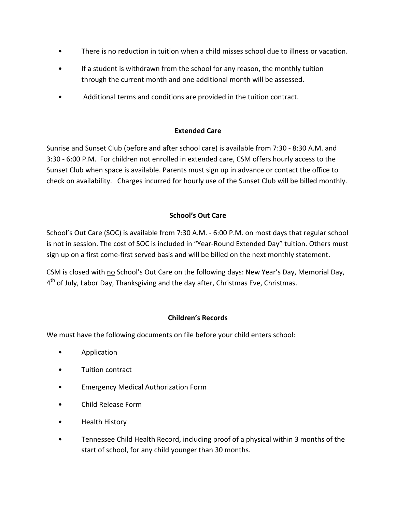- There is no reduction in tuition when a child misses school due to illness or vacation.
- If a student is withdrawn from the school for any reason, the monthly tuition through the current month and one additional month will be assessed.
- Additional terms and conditions are provided in the tuition contract.

# **Extended Care**

Sunrise and Sunset Club (before and after school care) is available from 7:30 - 8:30 A.M. and 3:30 - 6:00 P.M. For children not enrolled in extended care, CSM offers hourly access to the Sunset Club when space is available. Parents must sign up in advance or contact the office to check on availability. Charges incurred for hourly use of the Sunset Club will be billed monthly.

# **School's Out Care**

School's Out Care (SOC) is available from 7:30 A.M. - 6:00 P.M. on most days that regular school is not in session. The cost of SOC is included in "Year-Round Extended Day" tuition. Others must sign up on a first come-first served basis and will be billed on the next monthly statement.

CSM is closed with no School's Out Care on the following days: New Year's Day, Memorial Day, 4<sup>th</sup> of July, Labor Day, Thanksgiving and the day after, Christmas Eve, Christmas.

# **Children's Records**

We must have the following documents on file before your child enters school:

- Application
- Tuition contract
- Emergency Medical Authorization Form
- Child Release Form
- Health History
- Tennessee Child Health Record, including proof of a physical within 3 months of the start of school, for any child younger than 30 months.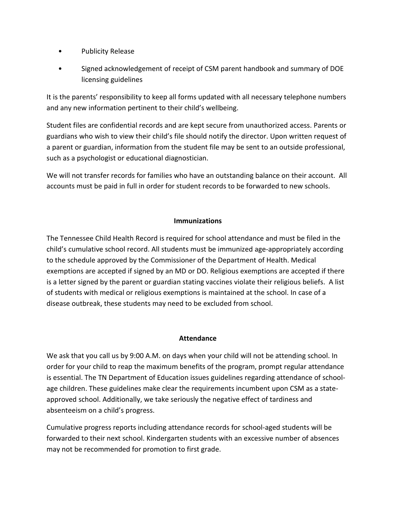- Publicity Release
- Signed acknowledgement of receipt of CSM parent handbook and summary of DOE licensing guidelines

It is the parents' responsibility to keep all forms updated with all necessary telephone numbers and any new information pertinent to their child's wellbeing.

Student files are confidential records and are kept secure from unauthorized access. Parents or guardians who wish to view their child's file should notify the director. Upon written request of a parent or guardian, information from the student file may be sent to an outside professional, such as a psychologist or educational diagnostician.

We will not transfer records for families who have an outstanding balance on their account. All accounts must be paid in full in order for student records to be forwarded to new schools.

## **Immunizations**

The Tennessee Child Health Record is required for school attendance and must be filed in the child's cumulative school record. All students must be immunized age-appropriately according to the schedule approved by the Commissioner of the Department of Health. Medical exemptions are accepted if signed by an MD or DO. Religious exemptions are accepted if there is a letter signed by the parent or guardian stating vaccines violate their religious beliefs. A list of students with medical or religious exemptions is maintained at the school. In case of a disease outbreak, these students may need to be excluded from school.

#### **Attendance**

We ask that you call us by 9:00 A.M. on days when your child will not be attending school. In order for your child to reap the maximum benefits of the program, prompt regular attendance is essential. The TN Department of Education issues guidelines regarding attendance of schoolage children. These guidelines make clear the requirements incumbent upon CSM as a stateapproved school. Additionally, we take seriously the negative effect of tardiness and absenteeism on a child's progress.

Cumulative progress reports including attendance records for school-aged students will be forwarded to their next school. Kindergarten students with an excessive number of absences may not be recommended for promotion to first grade.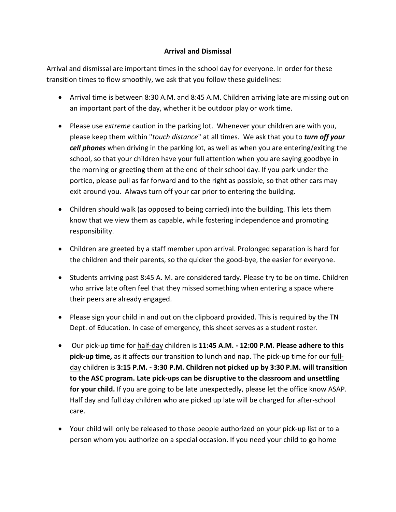# **Arrival and Dismissal**

Arrival and dismissal are important times in the school day for everyone. In order for these transition times to flow smoothly, we ask that you follow these guidelines:

- Arrival time is between 8:30 A.M. and 8:45 A.M. Children arriving late are missing out on an important part of the day, whether it be outdoor play or work time.
- Please use *extreme* caution in the parking lot. Whenever your children are with you, please keep them within "*touch distance*" at all times. We ask that you to *turn off your cell phones* when driving in the parking lot, as well as when you are entering/exiting the school, so that your children have your full attention when you are saying goodbye in the morning or greeting them at the end of their school day. If you park under the portico, please pull as far forward and to the right as possible, so that other cars may exit around you. Always turn off your car prior to entering the building.
- Children should walk (as opposed to being carried) into the building. This lets them know that we view them as capable, while fostering independence and promoting responsibility.
- Children are greeted by a staff member upon arrival. Prolonged separation is hard for the children and their parents, so the quicker the good-bye, the easier for everyone.
- Students arriving past 8:45 A. M. are considered tardy. Please try to be on time. Children who arrive late often feel that they missed something when entering a space where their peers are already engaged.
- Please sign your child in and out on the clipboard provided. This is required by the TN Dept. of Education. In case of emergency, this sheet serves as a student roster.
- Our pick-up time for half-day children is **11:45 A.M. - 12:00 P.M. Please adhere to this pick-up time,** as it affects our transition to lunch and nap. The pick-up time for our fullday children is **3:15 P.M. - 3:30 P.M. Children not picked up by 3:30 P.M. will transition to the ASC program. Late pick-ups can be disruptive to the classroom and unsettling for your child.** If you are going to be late unexpectedly, please let the office know ASAP. Half day and full day children who are picked up late will be charged for after-school care.
- Your child will only be released to those people authorized on your pick-up list or to a person whom you authorize on a special occasion. If you need your child to go home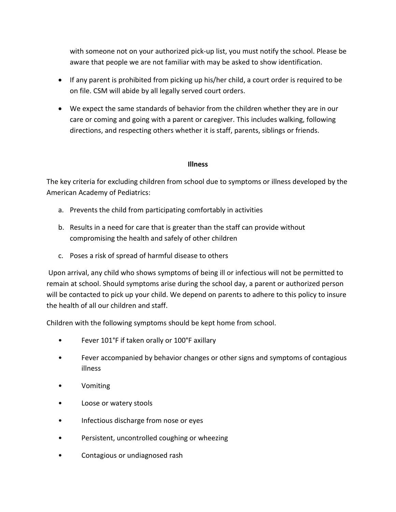with someone not on your authorized pick-up list, you must notify the school. Please be aware that people we are not familiar with may be asked to show identification.

- If any parent is prohibited from picking up his/her child, a court order is required to be on file. CSM will abide by all legally served court orders.
- We expect the same standards of behavior from the children whether they are in our care or coming and going with a parent or caregiver. This includes walking, following directions, and respecting others whether it is staff, parents, siblings or friends.

## **Illness**

The key criteria for excluding children from school due to symptoms or illness developed by the American Academy of Pediatrics:

- a. Prevents the child from participating comfortably in activities
- b. Results in a need for care that is greater than the staff can provide without compromising the health and safely of other children
- c. Poses a risk of spread of harmful disease to others

Upon arrival, any child who shows symptoms of being ill or infectious will not be permitted to remain at school. Should symptoms arise during the school day, a parent or authorized person will be contacted to pick up your child. We depend on parents to adhere to this policy to insure the health of all our children and staff.

Children with the following symptoms should be kept home from school.

- Fever 101°F if taken orally or 100°F axillary
- Fever accompanied by behavior changes or other signs and symptoms of contagious illness
- Vomiting
- Loose or watery stools
- Infectious discharge from nose or eyes
- Persistent, uncontrolled coughing or wheezing
- Contagious or undiagnosed rash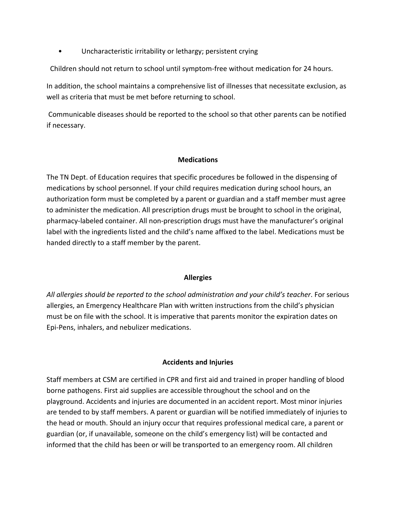Uncharacteristic irritability or lethargy; persistent crying

Children should not return to school until symptom-free without medication for 24 hours.

In addition, the school maintains a comprehensive list of illnesses that necessitate exclusion, as well as criteria that must be met before returning to school.

Communicable diseases should be reported to the school so that other parents can be notified if necessary.

## **Medications**

The TN Dept. of Education requires that specific procedures be followed in the dispensing of medications by school personnel. If your child requires medication during school hours, an authorization form must be completed by a parent or guardian and a staff member must agree to administer the medication. All prescription drugs must be brought to school in the original, pharmacy-labeled container. All non-prescription drugs must have the manufacturer's original label with the ingredients listed and the child's name affixed to the label. Medications must be handed directly to a staff member by the parent.

#### **Allergies**

*All allergies should be reported to the school administration and your child's teacher*. For serious allergies, an Emergency Healthcare Plan with written instructions from the child's physician must be on file with the school. It is imperative that parents monitor the expiration dates on Epi-Pens, inhalers, and nebulizer medications.

# **Accidents and Injuries**

Staff members at CSM are certified in CPR and first aid and trained in proper handling of blood borne pathogens. First aid supplies are accessible throughout the school and on the playground. Accidents and injuries are documented in an accident report. Most minor injuries are tended to by staff members. A parent or guardian will be notified immediately of injuries to the head or mouth. Should an injury occur that requires professional medical care, a parent or guardian (or, if unavailable, someone on the child's emergency list) will be contacted and informed that the child has been or will be transported to an emergency room. All children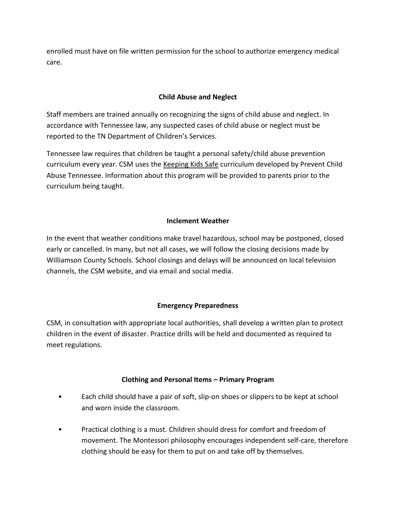enrolled must have on file written permission for the school to authorize emergency medical care.

# **Child Abuse and Neglect**

Staff members are trained annually on recognizing the signs of child abuse and neglect. In accordance with Tennessee law, any suspected cases of child abuse or neglect must be reported to the TN Department of Children's Services.

Tennessee law requires that children be taught a personal safety/child abuse prevention curriculum every year. CSM uses the Keeping Kids Safe curriculum developed by Prevent Child Abuse Tennessee. Information about this program will be provided to parents prior to the curriculum being taught.

# **Inclement Weather**

In the event that weather conditions make travel hazardous, school may be postponed, closed early or cancelled. In many, but not all cases, we will follow the closing decisions made by Williamson County Schools. School closings and delays will be announced on local television channels, the CSM website, and via email and social media.

# **Emergency Preparedness**

CSM, in consultation with appropriate local authorities, shall develop a written plan to protect children in the event of disaster. Practice drills will be held and documented as required to meet regulations.

# **Clothing and Personal Items – Primary Program**

- Each child should have a pair of soft, slip-on shoes or slippers to be kept at school and worn inside the classroom.
- Practical clothing is a must. Children should dress for comfort and freedom of movement. The Montessori philosophy encourages independent self-care, therefore clothing should be easy for them to put on and take off by themselves.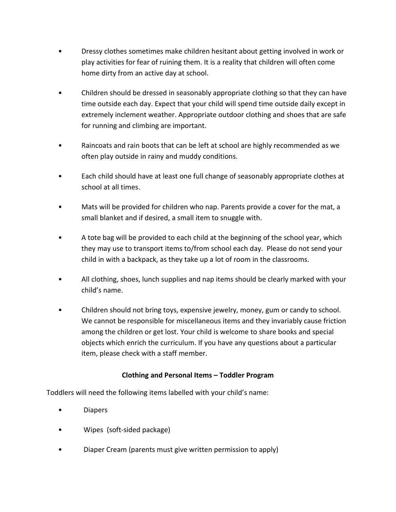- Dressy clothes sometimes make children hesitant about getting involved in work or play activities for fear of ruining them. It is a reality that children will often come home dirty from an active day at school.
- Children should be dressed in seasonably appropriate clothing so that they can have time outside each day. Expect that your child will spend time outside daily except in extremely inclement weather. Appropriate outdoor clothing and shoes that are safe for running and climbing are important.
- Raincoats and rain boots that can be left at school are highly recommended as we often play outside in rainy and muddy conditions.
- Each child should have at least one full change of seasonably appropriate clothes at school at all times.
- Mats will be provided for children who nap. Parents provide a cover for the mat, a small blanket and if desired, a small item to snuggle with.
- A tote bag will be provided to each child at the beginning of the school year, which they may use to transport items to/from school each day. Please do not send your child in with a backpack, as they take up a lot of room in the classrooms.
- All clothing, shoes, lunch supplies and nap items should be clearly marked with your child's name.
- Children should not bring toys, expensive jewelry, money, gum or candy to school. We cannot be responsible for miscellaneous items and they invariably cause friction among the children or get lost. Your child is welcome to share books and special objects which enrich the curriculum. If you have any questions about a particular item, please check with a staff member.

# **Clothing and Personal Items – Toddler Program**

Toddlers will need the following items labelled with your child's name:

- Diapers
- Wipes (soft-sided package)
- Diaper Cream (parents must give written permission to apply)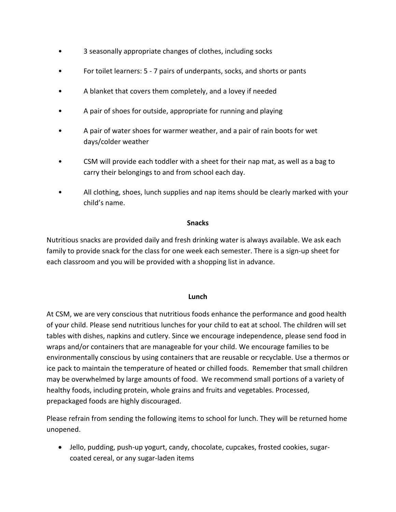- 3 seasonally appropriate changes of clothes, including socks
- For toilet learners: 5 7 pairs of underpants, socks, and shorts or pants
- A blanket that covers them completely, and a lovey if needed
- A pair of shoes for outside, appropriate for running and playing
- A pair of water shoes for warmer weather, and a pair of rain boots for wet days/colder weather
- CSM will provide each toddler with a sheet for their nap mat, as well as a bag to carry their belongings to and from school each day.
- All clothing, shoes, lunch supplies and nap items should be clearly marked with your child's name.

## **Snacks**

Nutritious snacks are provided daily and fresh drinking water is always available. We ask each family to provide snack for the class for one week each semester. There is a sign-up sheet for each classroom and you will be provided with a shopping list in advance.

#### **Lunch**

At CSM, we are very conscious that nutritious foods enhance the performance and good health of your child. Please send nutritious lunches for your child to eat at school. The children will set tables with dishes, napkins and cutlery. Since we encourage independence, please send food in wraps and/or containers that are manageable for your child. We encourage families to be environmentally conscious by using containers that are reusable or recyclable. Use a thermos or ice pack to maintain the temperature of heated or chilled foods. Remember that small children may be overwhelmed by large amounts of food. We recommend small portions of a variety of healthy foods, including protein, whole grains and fruits and vegetables. Processed, prepackaged foods are highly discouraged.

Please refrain from sending the following items to school for lunch. They will be returned home unopened.

 Jello, pudding, push-up yogurt, candy, chocolate, cupcakes, frosted cookies, sugarcoated cereal, or any sugar-laden items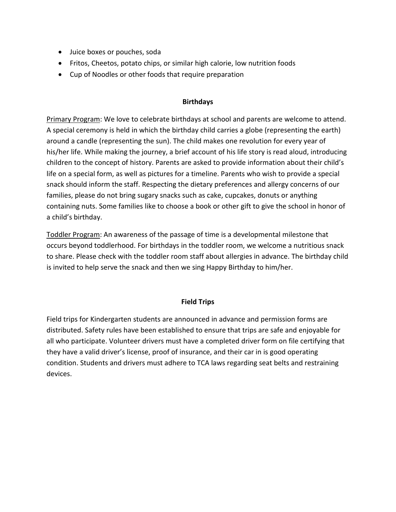- Juice boxes or pouches, soda
- Fritos, Cheetos, potato chips, or similar high calorie, low nutrition foods
- Cup of Noodles or other foods that require preparation

## **Birthdays**

Primary Program: We love to celebrate birthdays at school and parents are welcome to attend. A special ceremony is held in which the birthday child carries a globe (representing the earth) around a candle (representing the sun). The child makes one revolution for every year of his/her life. While making the journey, a brief account of his life story is read aloud, introducing children to the concept of history. Parents are asked to provide information about their child's life on a special form, as well as pictures for a timeline. Parents who wish to provide a special snack should inform the staff. Respecting the dietary preferences and allergy concerns of our families, please do not bring sugary snacks such as cake, cupcakes, donuts or anything containing nuts. Some families like to choose a book or other gift to give the school in honor of a child's birthday.

Toddler Program: An awareness of the passage of time is a developmental milestone that occurs beyond toddlerhood. For birthdays in the toddler room, we welcome a nutritious snack to share. Please check with the toddler room staff about allergies in advance. The birthday child is invited to help serve the snack and then we sing Happy Birthday to him/her.

# **Field Trips**

Field trips for Kindergarten students are announced in advance and permission forms are distributed. Safety rules have been established to ensure that trips are safe and enjoyable for all who participate. Volunteer drivers must have a completed driver form on file certifying that they have a valid driver's license, proof of insurance, and their car in is good operating condition. Students and drivers must adhere to TCA laws regarding seat belts and restraining devices.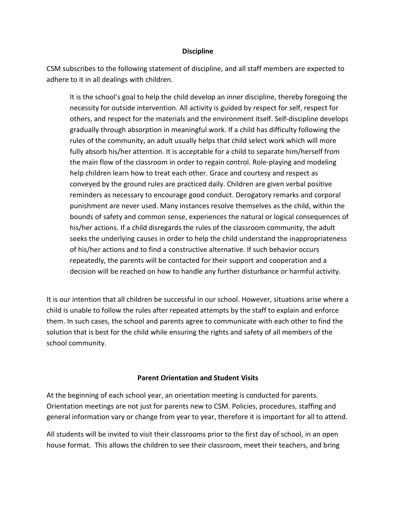#### **Discipline**

CSM subscribes to the following statement of discipline, and all staff members are expected to adhere to it in all dealings with children.

It is the school's goal to help the child develop an inner discipline, thereby foregoing the necessity for outside intervention. All activity is guided by respect for self, respect for others, and respect for the materials and the environment itself. Self-discipline develops gradually through absorption in meaningful work. If a child has difficulty following the rules of the community, an adult usually helps that child select work which will more fully absorb his/her attention. It is acceptable for a child to separate him/herself from the main flow of the classroom in order to regain control. Role-playing and modeling help children learn how to treat each other. Grace and courtesy and respect as conveyed by the ground rules are practiced daily. Children are given verbal positive reminders as necessary to encourage good conduct. Derogatory remarks and corporal punishment are never used. Many instances resolve themselves as the child, within the bounds of safety and common sense, experiences the natural or logical consequences of his/her actions. If a child disregards the rules of the classroom community, the adult seeks the underlying causes in order to help the child understand the inappropriateness of his/her actions and to find a constructive alternative. If such behavior occurs repeatedly, the parents will be contacted for their support and cooperation and a decision will be reached on how to handle any further disturbance or harmful activity.

It is our intention that all children be successful in our school. However, situations arise where a child is unable to follow the rules after repeated attempts by the staff to explain and enforce them. In such cases, the school and parents agree to communicate with each other to find the solution that is best for the child while ensuring the rights and safety of all members of the school community.

#### **Parent Orientation and Student Visits**

At the beginning of each school year, an orientation meeting is conducted for parents. Orientation meetings are not just for parents new to CSM. Policies, procedures, staffing and general information vary or change from year to year, therefore it is important for all to attend.

All students will be invited to visit their classrooms prior to the first day of school, in an open house format. This allows the children to see their classroom, meet their teachers, and bring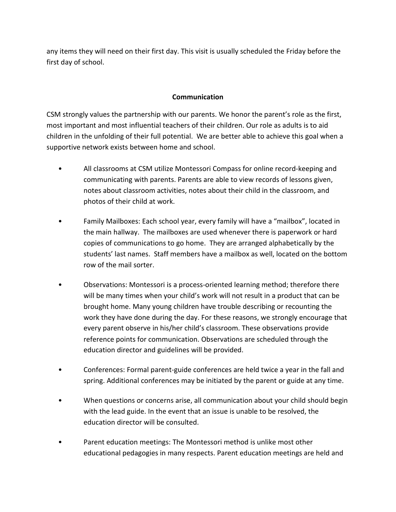any items they will need on their first day. This visit is usually scheduled the Friday before the first day of school.

## **Communication**

CSM strongly values the partnership with our parents. We honor the parent's role as the first, most important and most influential teachers of their children. Our role as adults is to aid children in the unfolding of their full potential. We are better able to achieve this goal when a supportive network exists between home and school.

- All classrooms at CSM utilize Montessori Compass for online record-keeping and communicating with parents. Parents are able to view records of lessons given, notes about classroom activities, notes about their child in the classroom, and photos of their child at work.
- Family Mailboxes: Each school year, every family will have a "mailbox", located in the main hallway. The mailboxes are used whenever there is paperwork or hard copies of communications to go home. They are arranged alphabetically by the students' last names. Staff members have a mailbox as well, located on the bottom row of the mail sorter.
- Observations: Montessori is a process-oriented learning method; therefore there will be many times when your child's work will not result in a product that can be brought home. Many young children have trouble describing or recounting the work they have done during the day. For these reasons, we strongly encourage that every parent observe in his/her child's classroom. These observations provide reference points for communication. Observations are scheduled through the education director and guidelines will be provided.
- Conferences: Formal parent-guide conferences are held twice a year in the fall and spring. Additional conferences may be initiated by the parent or guide at any time.
- When questions or concerns arise, all communication about your child should begin with the lead guide. In the event that an issue is unable to be resolved, the education director will be consulted.
- Parent education meetings: The Montessori method is unlike most other educational pedagogies in many respects. Parent education meetings are held and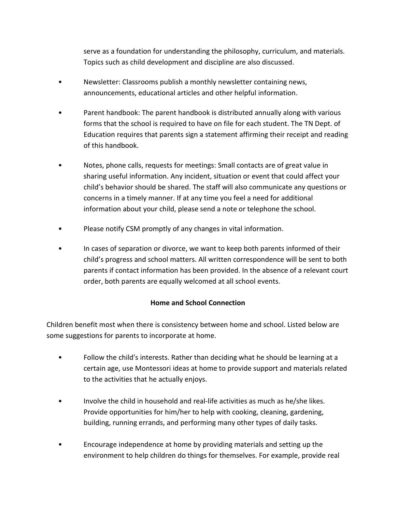serve as a foundation for understanding the philosophy, curriculum, and materials. Topics such as child development and discipline are also discussed.

- Newsletter: Classrooms publish a monthly newsletter containing news, announcements, educational articles and other helpful information.
- Parent handbook: The parent handbook is distributed annually along with various forms that the school is required to have on file for each student. The TN Dept. of Education requires that parents sign a statement affirming their receipt and reading of this handbook.
- Notes, phone calls, requests for meetings: Small contacts are of great value in sharing useful information. Any incident, situation or event that could affect your child's behavior should be shared. The staff will also communicate any questions or concerns in a timely manner. If at any time you feel a need for additional information about your child, please send a note or telephone the school.
- Please notify CSM promptly of any changes in vital information.
- In cases of separation or divorce, we want to keep both parents informed of their child's progress and school matters. All written correspondence will be sent to both parents if contact information has been provided. In the absence of a relevant court order, both parents are equally welcomed at all school events.

# **Home and School Connection**

Children benefit most when there is consistency between home and school. Listed below are some suggestions for parents to incorporate at home.

- Follow the child's interests. Rather than deciding what he should be learning at a certain age, use Montessori ideas at home to provide support and materials related to the activities that he actually enjoys.
- Involve the child in household and real-life activities as much as he/she likes. Provide opportunities for him/her to help with cooking, cleaning, gardening, building, running errands, and performing many other types of daily tasks.
- Encourage independence at home by providing materials and setting up the environment to help children do things for themselves. For example, provide real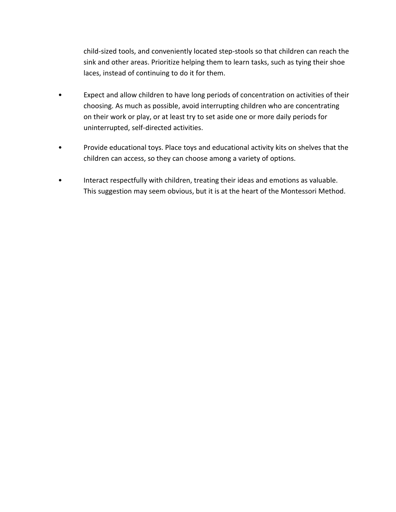child-sized tools, and conveniently located step-stools so that children can reach the sink and other areas. Prioritize helping them to learn tasks, such as tying their shoe laces, instead of continuing to do it for them.

- Expect and allow children to have long periods of concentration on activities of their choosing. As much as possible, avoid interrupting children who are concentrating on their work or play, or at least try to set aside one or more daily periods for uninterrupted, self-directed activities.
- Provide educational toys. Place toys and educational activity kits on shelves that the children can access, so they can choose among a variety of options.
- Interact respectfully with children, treating their ideas and emotions as valuable. This suggestion may seem obvious, but it is at the heart of the Montessori Method.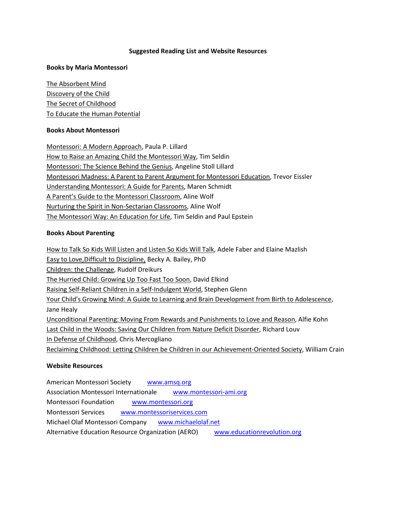#### **Suggested Reading List and Website Resources**

#### **Books by Maria Montessori**

The Absorbent Mind Discovery of the Child The Secret of Childhood To Educate the Human Potential

#### **Books About Montessori**

Montessori: A Modern Approach, Paula P. Lillard How to Raise an Amazing Child the Montessori Way, Tim Seldin Montessori: The Science Behind the Genius, Angeline Stoll Lillard Montessori Madness: A Parent to Parent Argument for Montessori Education, Trevor Eissler Understanding Montessori: A Guide for Parents, Maren Schmidt A Parent's Guide to the Montessori Classroom, Aline Wolf Nurturing the Spirit in Non-Sectarian Classrooms, Aline Wolf The Montessori Way: An Education for Life, Tim Seldin and Paul Epstein

#### **Books About Parenting**

How to Talk So Kids Will Listen and Listen So Kids Will Talk, Adele Faber and Elaine Mazlish Easy to Love,Difficult to Discipline, Becky A. Bailey, PhD Children: the Challenge, Rudolf Dreikurs The Hurried Child: Growing Up Too Fast Too Soon, David Elkind Raising Self-Reliant Children in a Self-Indulgent World, Stephen Glenn Your Child's Growing Mind: A Guide to Learning and Brain Development from Birth to Adolescence, Jane Healy Unconditional Parenting: Moving From Rewards and Punishments to Love and Reason, Alfie Kohn Last Child in the Woods: Saving Our Children from Nature Deficit Disorder, Richard Louv In Defense of Childhood, Chris Mercogliano Reclaiming Childhood: Letting Children be Children in our Achievement-Oriented Society, William Crain

#### **Website Resources**

American Montessori Society [www.amsq.org](http://www.amsq.org/) Association Montessori Internationale [www.montessori-ami.org](http://www.montessori-ami.org/) Montessori Foundation [www.montessori.org](http://www.montessori.org/) Montessori Services [www.montessoriservices.com](http://www.montessoriservices.com/) Michael Olaf Montessori Company [www.michaelolaf.net](http://www.michaelolaf.net/) Alternative Education Resource Organization (AERO) [www.educationrevolution.org](http://www.educationrevolution.org/)